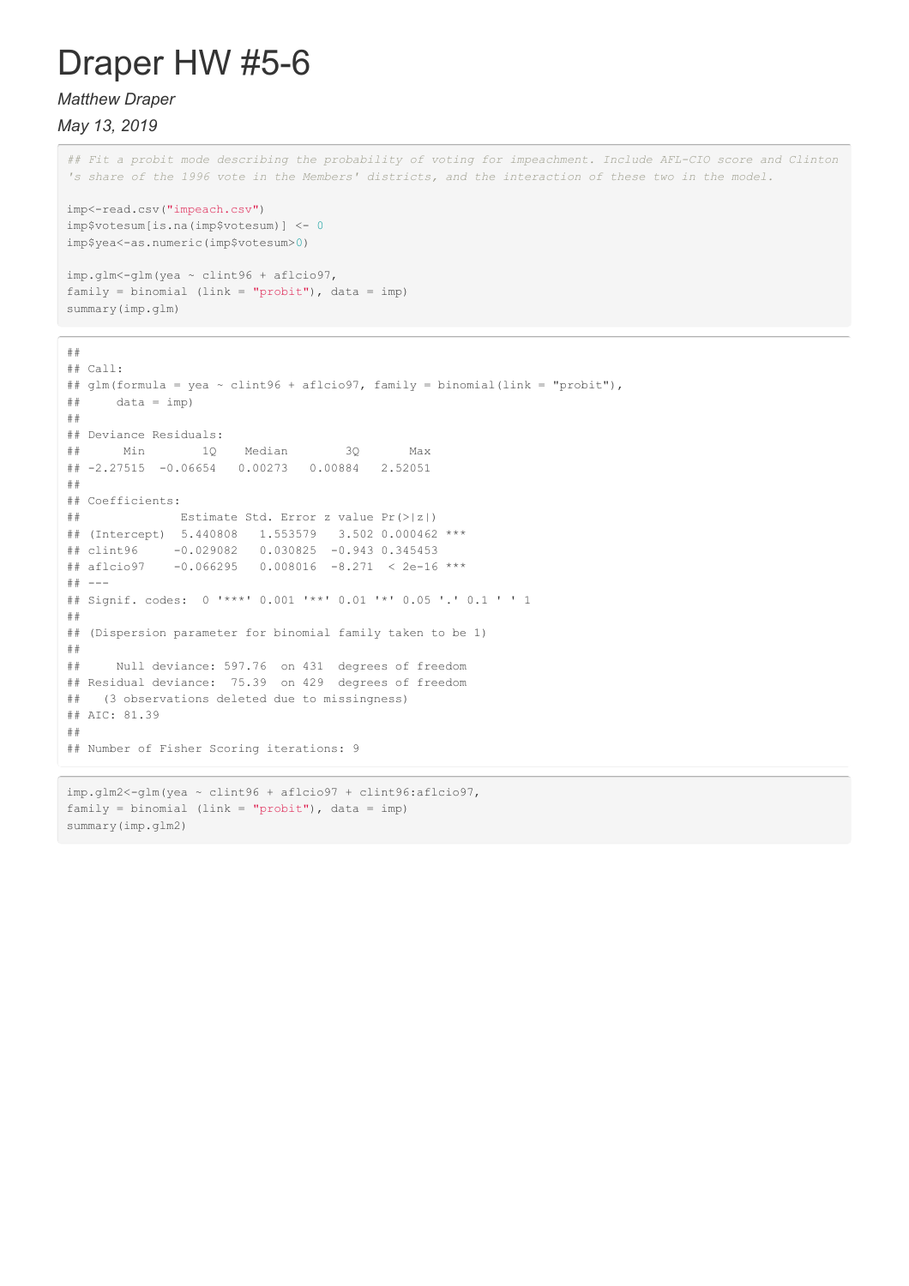## Draper HW #5-6

## *Matthew Draper*

*May 13, 2019*

## Fit a probit mode describing the probability of voting for impeachment. Include AFL-CIO score and Clinton 's share of the 1996 vote in the Members' districts, and the interaction of these two in the model.

```
imp<-read.csv("impeach.csv")
imp$votesum[is.na(imp$votesum)] <- 0
imp$yea<-as.numeric(imp$votesum>0)
```

```
imp.glm<-glm(yea ~ clint96 + aflcio97,
family = binomial (link = "probit"), data = imp)
summary(imp.glm)
```

```
##
## Call:
## glm(formula = yea ~ clint96 + aflcio97, family = binomial(link = "probit"),
\# \# data = imp)
##
## Deviance Residuals:
## Min 1Q Median 3Q Max
## -2.27515 -0.06654 0.00273 0.00884 2.52051
##
## Coefficients:
## Estimate Std. Error z value Pr(>|z|)
## (Intercept) 5.440808 1.553579 3.502 0.000462 ***
## clint96 -0.029082 0.030825 -0.943 0.345453
## aflcio97 -0.066295 0.008016 -8.271 < 2e-16 ***
## ---
## Signif. codes: 0 '***' 0.001 '**' 0.01 '*' 0.05 '.' 0.1 ' ' 1
##
## (Dispersion parameter for binomial family taken to be 1)
##
## Null deviance: 597.76 on 431 degrees of freedom
## Residual deviance: 75.39 on 429 degrees of freedom
## (3 observations deleted due to missingness)
## AIC: 81.39
##
## Number of Fisher Scoring iterations: 9
```

```
imp.glm2<-glm(yea ~ clint96 + aflcio97 + clint96:aflcio97,
family = binomial (link = "probit"), data = imp)
summary(imp.glm2)
```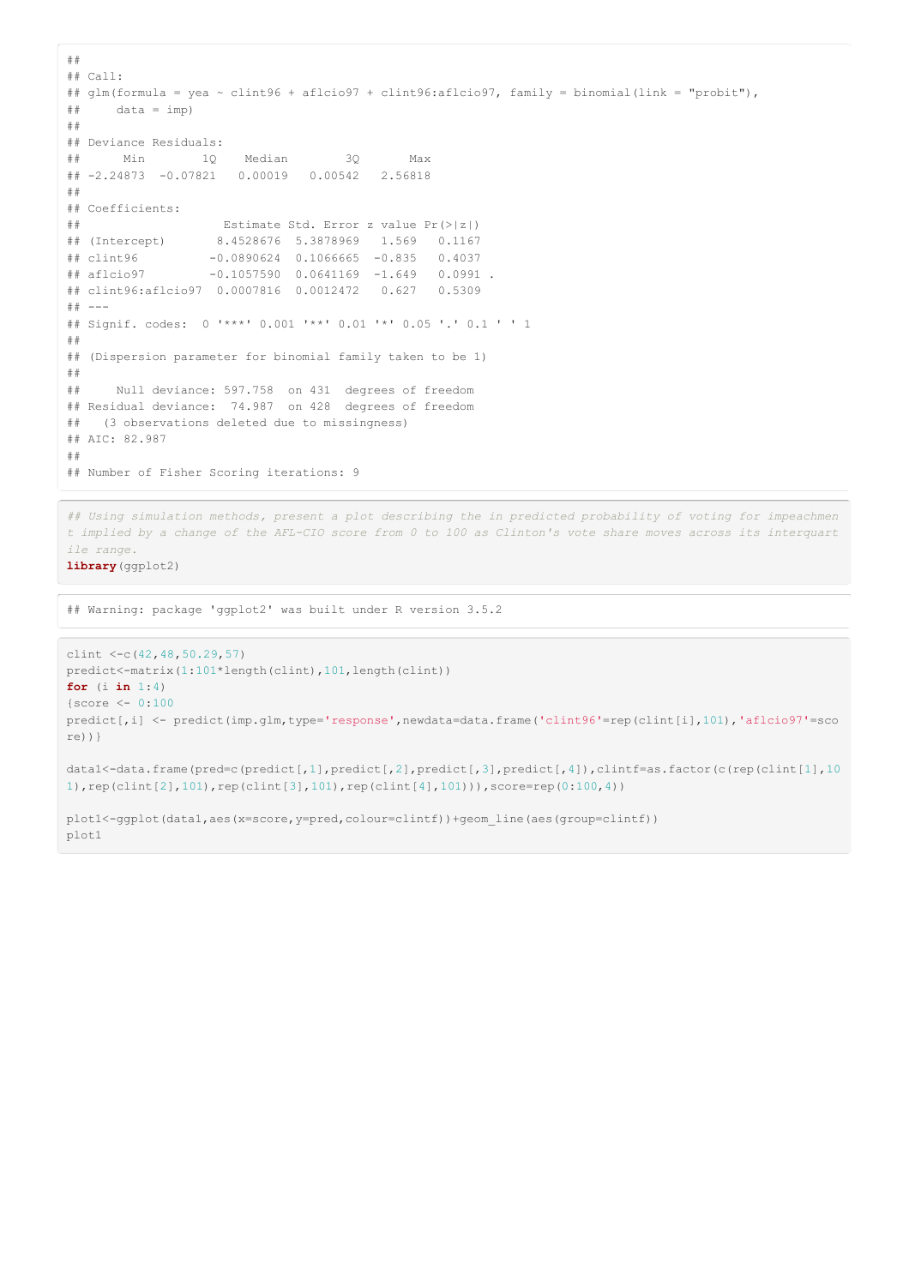```
##
## Call:
## glm(formula = yea ~ clint96 + aflcio97 + clint96:aflcio97, family = binomial(link = "probit"),
\# data = imp)
##
## Deviance Residuals:
## Min 1Q Median 3Q Max
## -2.24873 -0.07821 0.00019 0.00542 2.56818
##
## Coefficients:
## Estimate Std. Error z value Pr(>|z|)
## (Intercept) 8.4528676 5.3878969 1.569 0.1167
## clint96 -0.0890624 0.1066665 -0.835 0.4037
## aflcio97 -0.1057590 0.0641169 -1.649 0.0991
## clint96:aflcio97 0.0007816 0.0012472 0.627 0.5309
\# + - - -## Signif. codes: 0 '***' 0.001 '**' 0.01 '*' 0.05 '.' 0.1 ' ' 1
##
## (Dispersion parameter for binomial family taken to be 1)
##
## Null deviance: 597.758 on 431 degrees of freedom
## Residual deviance: 74.987 on 428 degrees of freedom
## (3 observations deleted due to missingness)
## AIC: 82.987
##
## Number of Fisher Scoring iterations: 9
```
*## Using simulation methods, present a plot describing the in predicted probability of voting for impeachmen* t implied by a change of the AFL-CIO score from 0 to 100 as Clinton's vote share moves across its interquart *ile range.* **library**(ggplot2)

## Warning: package 'ggplot2' was built under R version 3.5.2

```
clint <-c(42, 48, 50.29, 57)predict<-matrix(1:101*length(clint),101,length(clint))
for (i in 1:4)
{score <- 0:100
predict[,i] <- predict(imp.glm,type='response',newdata=data.frame('clint96'=rep(clint[i],101),'aflcio97'=sco
re))}
```

```
data1<-data.frame(pred=c(predict[,1],predict[,2],predict[,3],predict[,4]),clintf=as.factor(c(rep(clint[1],10
1),rep(clint[2],101),rep(clint[3],101),rep(clint[4],101))),score=rep(0:100,4))
```
plot1<-ggplot(data1,aes(x=score,y=pred,colour=clintf))+geom\_line(aes(group=clintf)) plot1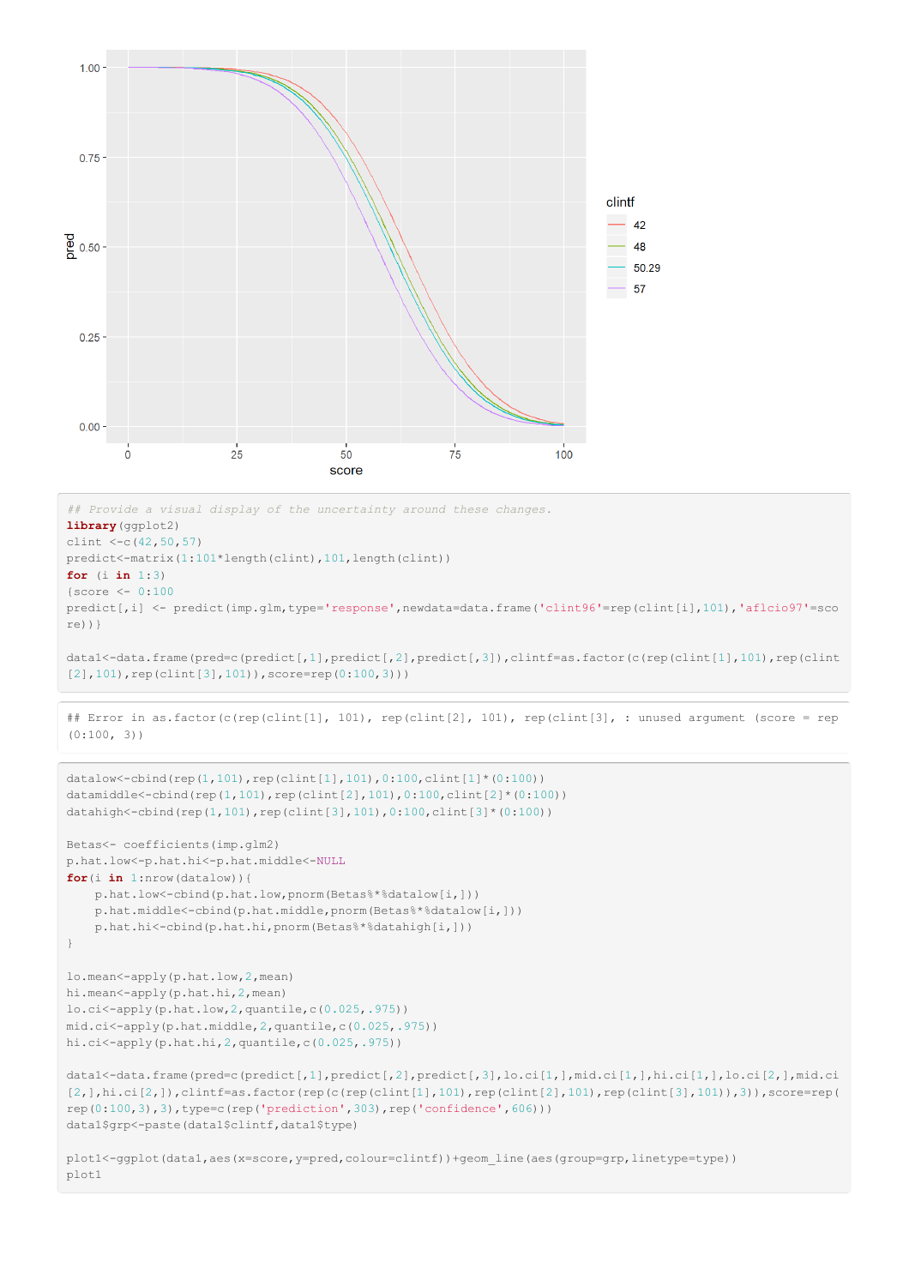

```
library(ggplot2)
clint <-c(42,50,57)
predict<-matrix(1:101*length(clint),101,length(clint))
for (i in 1:3)
{score <- 0:100
predict[,i] <- predict(imp.glm,type='response',newdata=data.frame('clint96'=rep(clint[i],101),'aflcio97'=sco
re))}
```
data1<-data.frame(pred=c(predict[,1],predict[,2],predict[,3]),clintf=as.factor(c(rep(clint[1],101),rep(clint [2],101), rep(clint[3],101)), score=rep(0:100,3)))

## Error in as.factor(c(rep(clint[1], 101), rep(clint[2], 101), rep(clint[3], : unused argument (score = rep  $(0:100, 3)$ 

```
datalow <- cbind(rep(1,101),rep(clint[1],101),0:100,clint[1]*(0:100))
datamiddle <- cbind(rep(1,101),rep(clint[2],101),0:100,clint[2]*(0:100))
datahigh <- cbind(rep(1,101),rep(clint[3],101),0:100,clint[3]*(0:100))
Betas<- coefficients(imp.glm2)
p.hat.low<-p.hat.hi<-p.hat.middle<-NULL
for(i in 1:nrow(datalow)){
    p.hat.low<-cbind(p.hat.low,pnorm(Betas%*%datalow[i,]))
    p.hat.middle<-cbind(p.hat.middle,pnorm(Betas%*%datalow[i,]))
    p.hat.hi<-cbind(p.hat.hi,pnorm(Betas%*%datahigh[i,]))
}
lo.mean<-apply(p.hat.low,2,mean)
hi.mean<-apply(p.hat.hi,2,mean)
lo.ci<-apply(p.hat.low,2,quantile,c(0.025,.975))
mid.ci<-apply(p.hat.middle,2,quantile,c(0.025,.975))
hi.ci<-apply(p.hat.hi,2,quantile,c(0.025,.975))
data1<-data.frame(pred=c(predict[,1],predict[,2],predict[,3],lo.ci[1,],mid.ci[1,],hi.ci[1,],lo.ci[2,],mid.ci
[2,],hi.ci[2,]),clintf=as.factor(rep(c(rep(clint[1],101),rep(clint[2],101),rep(clint[3],101)),3)),score=rep(
rep(0:100,3),3),type=c(rep('prediction',303),rep('confidence',606)))
data1$grp<-paste(data1$clintf,data1$type)
plot1<-ggplot(data1,aes(x=score,y=pred,colour=clintf))+geom_line(aes(group=grp,linetype=type))
```
plot1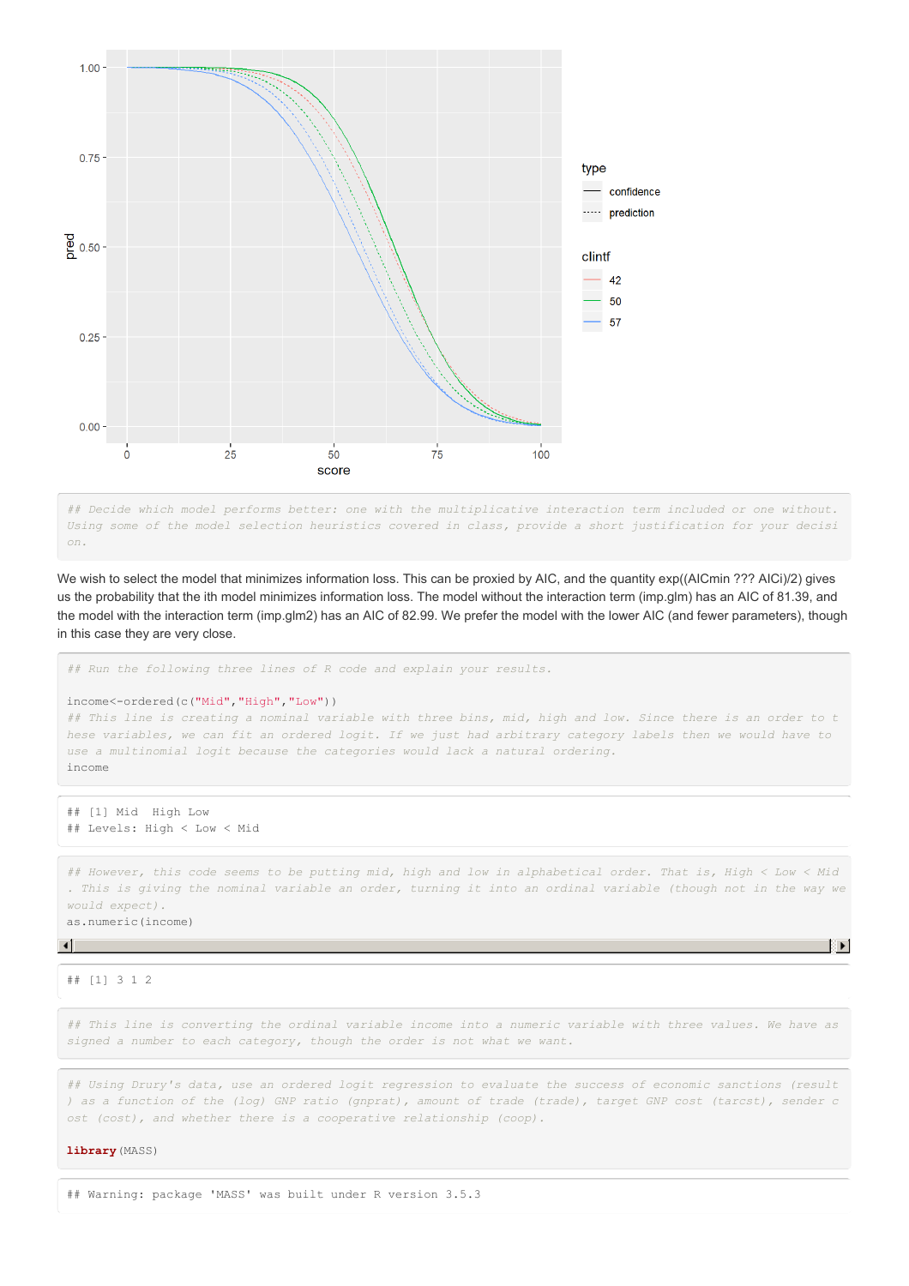

*## Decide which model performs better: one with the multiplicative interaction term included or one without.* Using some of the model selection heuristics covered in class, provide a short justification for your decisi *on.*

We wish to select the model that minimizes information loss. This can be proxied by AIC, and the quantity exp((AICmin ??? AICi)/2) gives us the probability that the ith model minimizes information loss. The model without the interaction term (imp.glm) has an AIC of 81.39, and the model with the interaction term (imp.glm2) has an AIC of 82.99. We prefer the model with the lower AIC (and fewer parameters), though in this case they are very close.

*## Run the following three lines of R code and explain your results.*

## income<-ordered(c("Mid","High","Low"))

```
## This line is creating a nominal variable with three bins, mid, high and low. Since there is an order to t
hese variables, we can fit an ordered logit. If we just had arbitrary category labels then we would have to
use a multinomial logit because the categories would lack a natural ordering.
income
```

```
## [1] Mid High Low
## Levels: High < Low < Mid
```
## However, this code seems to be putting mid, high and low in alphabetical order. That is, High < Low < Mid . This is giving the nominal variable an order, turning it into an ordinal variable (though not in the way we *would expect).* as.numeric(income)

EE

## [1] 3 1 2

## This line is converting the ordinal variable income into a numeric variable with three values. We have as *signed a number to each category, though the order is not what we want.*

## Using Drury's data, use an ordered logit regression to evaluate the success of economic sanctions (result ) as a function of the (log) GNP ratio (gnprat), amount of trade (trade), target GNP cost (tarcst), sender c *ost (cost), and whether there is a cooperative relationship (coop).*

**library**(MASS)

## Warning: package 'MASS' was built under R version 3.5.3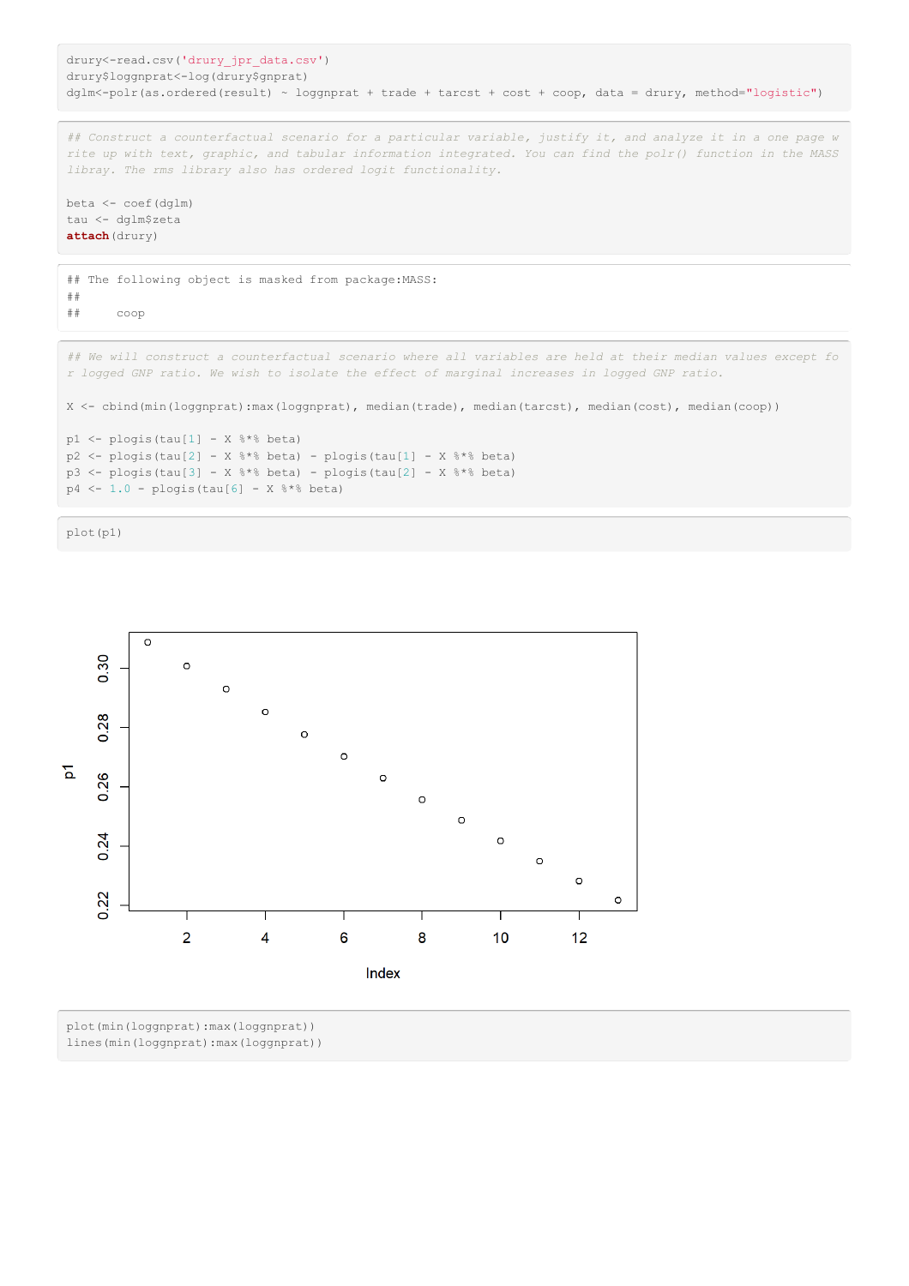```
drury<-read.csv('drury_jpr_data.csv')
drury$loggnprat<-log(drury$gnprat)
dglm<-polr(as.ordered(result) ~ loggnprat + trade + tarcst + cost + coop, data = drury, method="logistic")
## Construct a counterfactual scenario for a particular variable, justify it, and analyze it in a one page w
rite up with text, graphic, and tabular information integrated. You can find the polr() function in the MASS
libray. The rms library also has ordered logit functionality.
beta <- coef(dglm)
tau <- dglm$zeta
attach(drury)
## The following object is masked from package:MASS:
##
## coop
## We will construct a counterfactual scenario where all variables are held at their median values except fo
r logged GNP ratio. We wish to isolate the effect of marginal increases in logged GNP ratio.
X <- cbind(min(loggnprat):max(loggnprat), median(trade), median(tarcst), median(cost), median(coop))
p1 \leftarrow plogis(tau[1] - X \*% beta)
```

```
p2 \leq p \log i \left( \tan(2) - X \right) * \left( \tan(2) - p \right) - plogis(tau[1] - X * \left( \tan(2) - X \right)p3 \leq - plogis(tau[3] - X %*% beta) - plogis(tau[2] - X %*% beta)
p4 \le -1.0 - plogis(tau[6] - X 8* beta)
```




plot(min(loggnprat):max(loggnprat)) lines(min(loggnprat):max(loggnprat))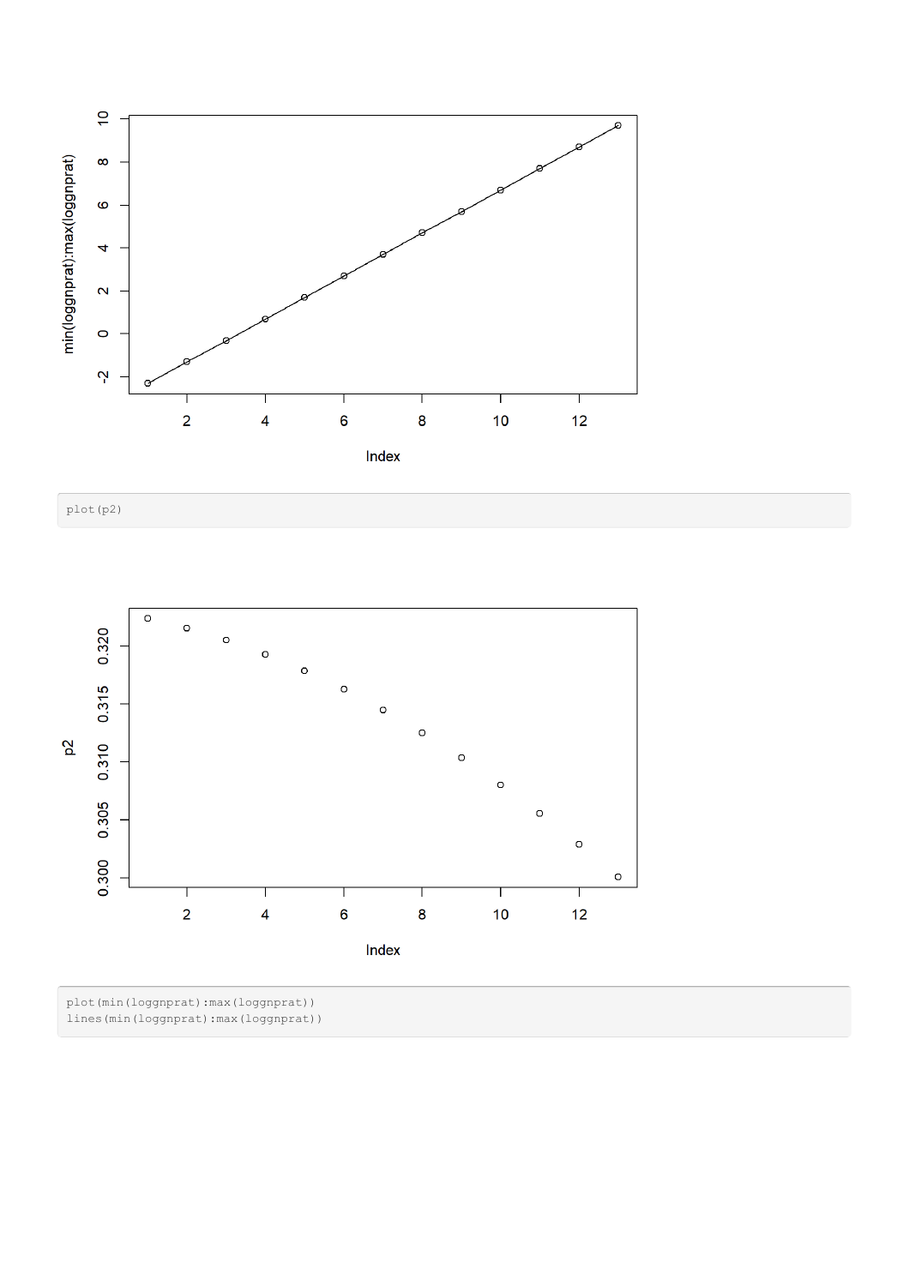





plot(min(loggnprat):max(loggnprat)) lines(min(loggnprat):max(loggnprat))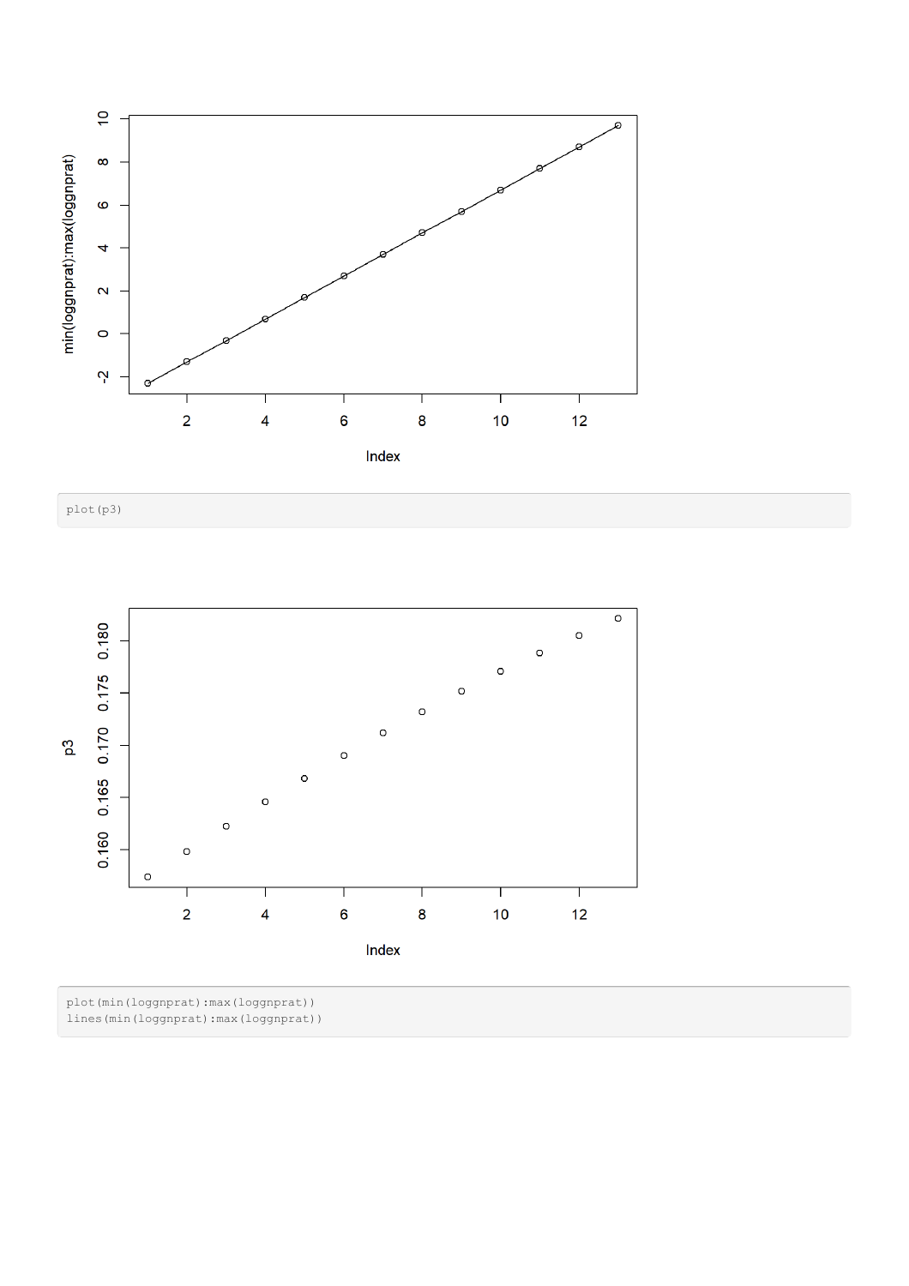





plot(min(loggnprat):max(loggnprat)) lines(min(loggnprat):max(loggnprat))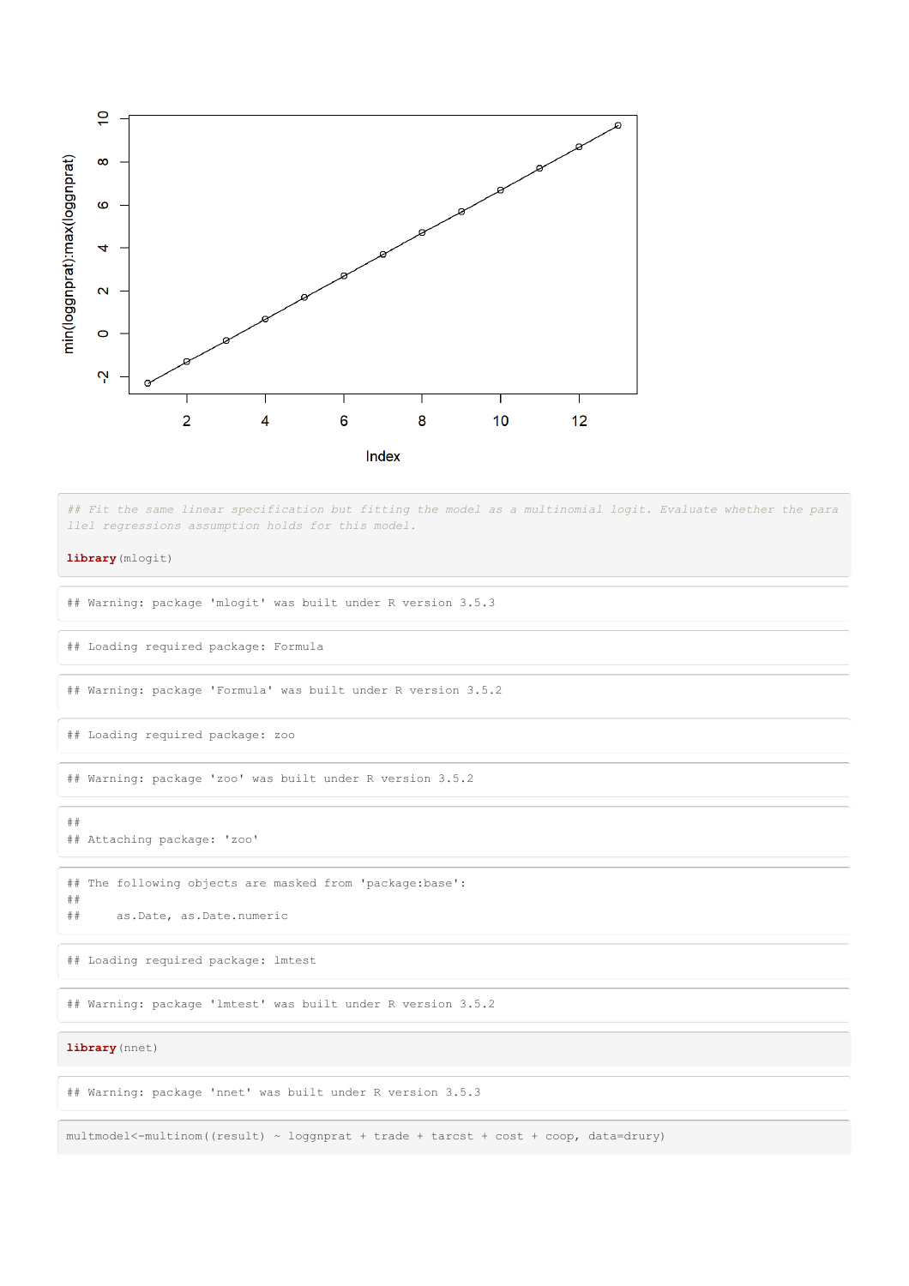

## Fit the same linear specification but fitting the model as a multinomial logit. Evaluate whether the para *llel regressions assumption holds for this model.*

```
library(mlogit)
```
## Warning: package 'mlogit' was built under R version 3.5.3

## Loading required package: Formula

## Warning: package 'Formula' was built under R version 3.5.2

## Loading required package: zoo

## Warning: package 'zoo' was built under R version 3.5.2

##

## Attaching package: 'zoo'

## The following objects are masked from 'package:base': ##

## as.Date, as.Date.numeric

## Loading required package: lmtest

## Warning: package 'lmtest' was built under R version 3.5.2

**library**(nnet)

## Warning: package 'nnet' was built under R version 3.5.3

multmodel<-multinom((result) ~ loggnprat + trade + tarcst + cost + coop, data=drury)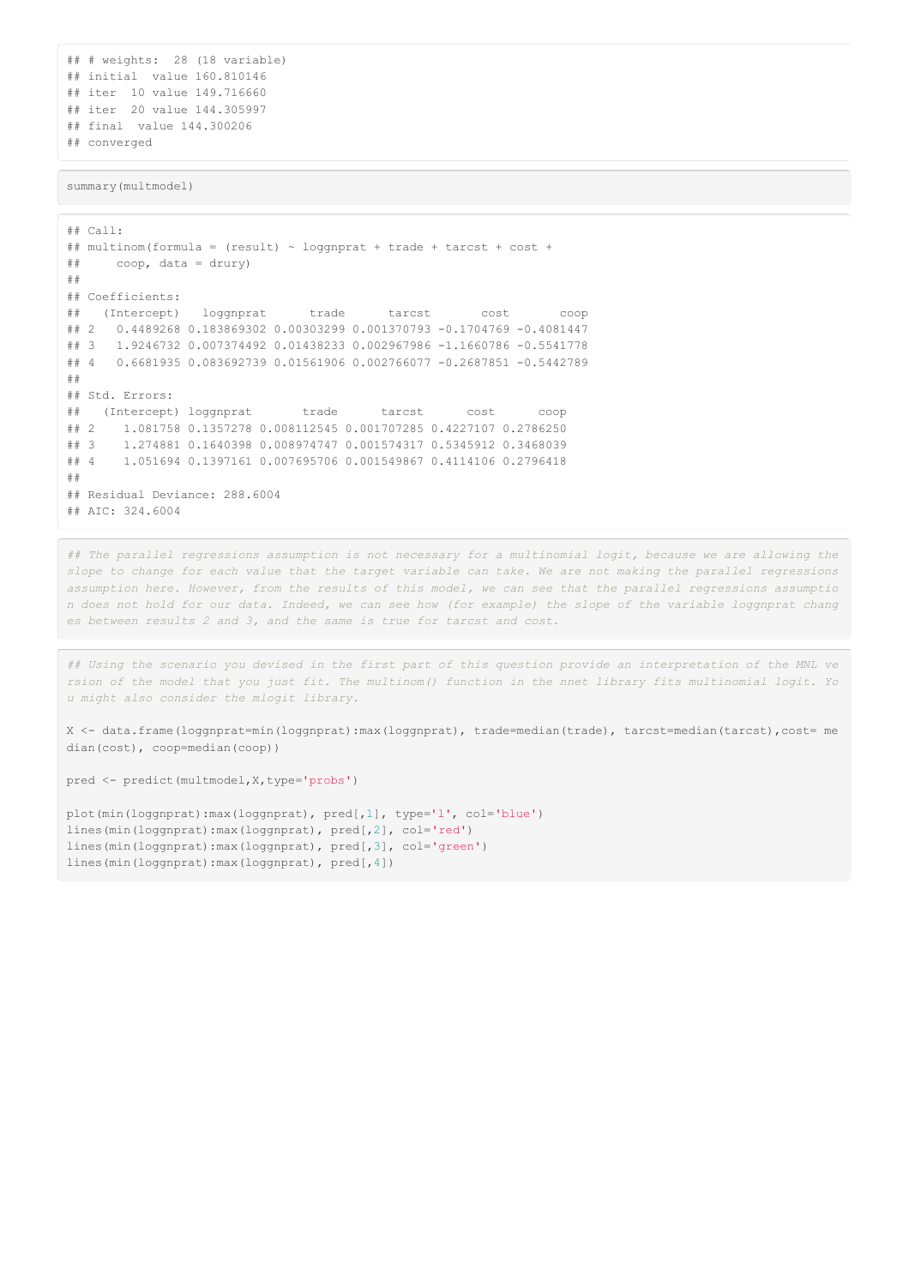```
## # weights: 28 (18 variable)
## initial value 160.810146
## iter 10 value 149.716660
## iter 20 value 144.305997
## final value 144.300206
## converged
```
summary(multmodel)

```
## Call:
## multinom(formula = (result) ~ loggnprat + trade + tarcst + cost +
## coop, data = drury)
##
## Coefficients:
## (Intercept) loggnprat trade tarcst cost coop
## 2 0.4489268 0.183869302 0.00303299 0.001370793 -0.1704769 -0.4081447
## 3 1.9246732 0.007374492 0.01438233 0.002967986 -1.1660786 -0.5541778
## 4 0.6681935 0.083692739 0.01561906 0.002766077 -0.2687851 -0.5442789
##
## Std. Errors:
## (Intercept) loggnprat trade tarcst cost coop
## 2 1.081758 0.1357278 0.008112545 0.001707285 0.4227107 0.2786250
## 3 1.274881 0.1640398 0.008974747 0.001574317 0.5345912 0.3468039
## 4 1.051694 0.1397161 0.007695706 0.001549867 0.4114106 0.2796418
##
## Residual Deviance: 288.6004
## AIC: 324.6004
```
## The parallel regressions assumption is not necessary for a multinomial logit, because we are allowing the slope to change for each value that the target variable can take. We are not making the parallel regressions assumption here. However, from the results of this model, we can see that the parallel regressions assumptio n does not hold for our data. Indeed, we can see how (for example) the slope of the variable loggnprat chang *es between results 2 and 3, and the same is true for tarcst and cost.*

## Using the scenario you devised in the first part of this question provide an interpretation of the MNL ve rsion of the model that you just fit. The multinom() function in the nnet library fits multinomial logit. Yo *u might also consider the mlogit library.*

X <- data.frame(loggnprat=min(loggnprat):max(loggnprat), trade=median(trade), tarcst=median(tarcst),cost= me dian(cost), coop=median(coop))

pred <- predict(multmodel,X,type='probs')

plot(min(loggnprat):max(loggnprat), pred[,1], type='l', col='blue') lines(min(loggnprat):max(loggnprat), pred[,2], col='red') lines(min(loggnprat):max(loggnprat), pred[,3], col='green') lines(min(loggnprat):max(loggnprat), pred[,4])